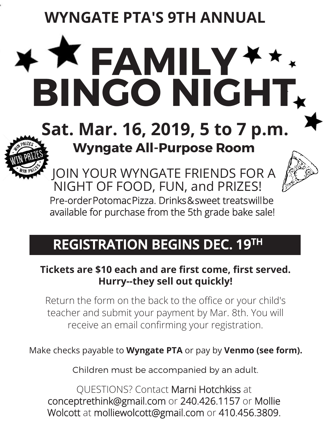**WYNGATE PTA'S 9TH ANNUAL**

# **FAMILY BINGO NIGHT**

# **Sat. Mar. 16, 2019, 5 to 7 p.m. Wyngate All-Purpose Room**



JOIN YOUR WYNGATE FRIENDS FOR A NIGHT OF FOOD, FUN, and PRIZES! Pre-order Potomac Pizza. Drinks & sweet treats will be

available for purchase from the 5th grade bake sale!

## **REGISTRATION BEGINS DEC. 19TH**

### **Tickets are \$10 each and are first come, first served. Hurry--they sell out quickly!**

Return the form on the back to the office or your child's teacher and submit your payment by Mar. 8th. You will receive an email confirming your registration.

Make checks payable to **Wyngate PTA** or pay by **Venmo (see form).**

Children must be accompanied by an adult.

QUESTIONS? Contact Marni Hotchkiss at conceptrethink@gmail.com or 240.426.1157 or Mollie Wolcott at molliewolcott@gmail.com or 410.456.3809.